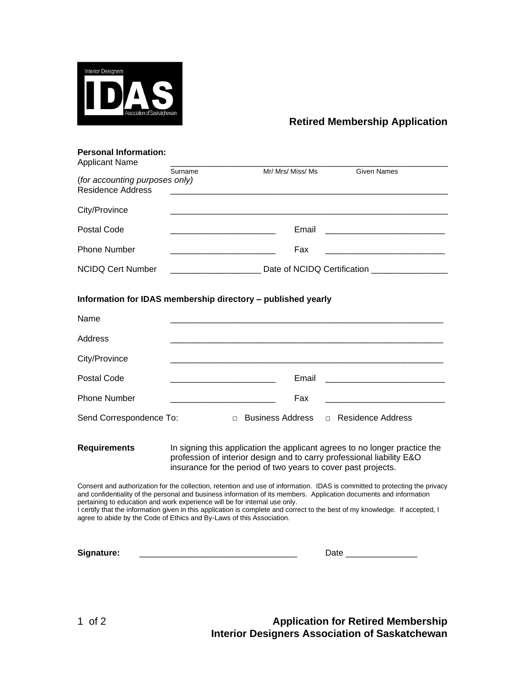

## **Retired Membership Application**

| <b>Personal Information:</b><br><b>Applicant Name</b> |                                                      |                                                              |                    |  |
|-------------------------------------------------------|------------------------------------------------------|--------------------------------------------------------------|--------------------|--|
|                                                       | Surname                                              | Mr/ Mrs/ Miss/ Ms                                            | <b>Given Names</b> |  |
| (for accounting purposes only)                        |                                                      |                                                              |                    |  |
| Residence Address                                     |                                                      |                                                              |                    |  |
| City/Province                                         |                                                      |                                                              |                    |  |
| Postal Code                                           | <u> 1980 - Johann John Stone, mars et al. (1980)</u> | Email                                                        |                    |  |
| <b>Phone Number</b>                                   |                                                      | Fax                                                          |                    |  |
| NCIDQ Cert Number                                     | Date of NCIDQ Certification                          |                                                              |                    |  |
|                                                       |                                                      | Information for IDAS membership directory - published yearly |                    |  |
| Name                                                  |                                                      |                                                              |                    |  |
| Address                                               |                                                      |                                                              |                    |  |

| City/Province           |        |       |                                             |
|-------------------------|--------|-------|---------------------------------------------|
| Postal Code             |        | Email |                                             |
| <b>Phone Number</b>     |        | Fax   |                                             |
| Send Correspondence To: | $\Box$ |       | Business Address <b>D</b> Residence Address |

**Requirements** In signing this application the applicant agrees to no longer practice the profession of interior design and to carry professional liability E&O insurance for the period of two years to cover past projects.

Consent and authorization for the collection, retention and use of information. IDAS is committed to protecting the privacy and confidentiality of the personal and business information of its members. Application documents and information pertaining to education and work experience will be for internal use only.

I certify that the information given in this application is complete and correct to the best of my knowledge. If accepted, I agree to abide by the Code of Ethics and By-Laws of this Association.

| Signature: |  |  |
|------------|--|--|
|------------|--|--|